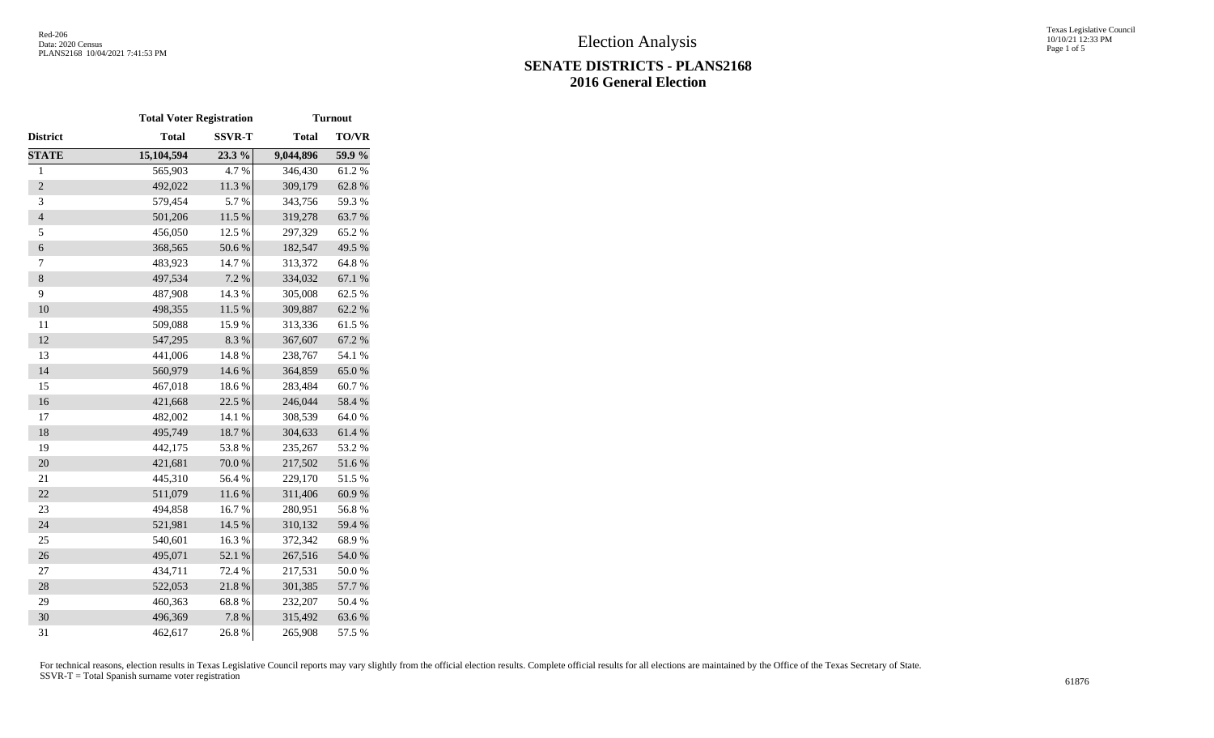# **SENATE DISTRICTS - PLANS2168 2016 General Election**

Texas Legislative Council 10/10/21 12:33 PM Page 1 of 5

|                  | <b>Total Voter Registration</b> |               | <b>Turnout</b> |            |  |  |  |  |  |
|------------------|---------------------------------|---------------|----------------|------------|--|--|--|--|--|
| District         | <b>Total</b>                    | <b>SSVR-T</b> | <b>Total</b>   | TO/VR      |  |  |  |  |  |
| <b>STATE</b>     | 15,104,594                      | 23.3 %        | 9,044,896      | 59.9%      |  |  |  |  |  |
| $\mathbf{1}$     | 565,903                         | 4.7%          | 346,430        | 61.2%      |  |  |  |  |  |
| $\overline{2}$   | 492,022                         | 11.3 %        | 309,179        | 62.8%      |  |  |  |  |  |
| 3                | 579,454                         | 5.7%          | 343,756        | 59.3%      |  |  |  |  |  |
| $\overline{4}$   | 501,206                         | $11.5~\%$     | 319,278        | 63.7%      |  |  |  |  |  |
| 5                | 456,050                         | 12.5 %        | 297,329        | 65.2%      |  |  |  |  |  |
| $\boldsymbol{6}$ | 368,565                         | 50.6 %        | 182,547        | 49.5 %     |  |  |  |  |  |
| 7                | 483,923                         | 14.7%         | 313,372        | 64.8%      |  |  |  |  |  |
| $8\,$            | 497,534                         | 7.2 %         | 334,032        | 67.1 %     |  |  |  |  |  |
| 9                | 487,908                         | 14.3 %        | 305,008        | 62.5 %     |  |  |  |  |  |
| 10               | 498,355                         | $11.5~\%$     | 309,887        | 62.2%      |  |  |  |  |  |
| 11               | 509,088                         | 15.9%         | 313,336        | 61.5%      |  |  |  |  |  |
| 12               | 547,295                         | 8.3%          | 367,607        | 67.2 %     |  |  |  |  |  |
| 13               | 441,006                         | 14.8 %        | 238,767        | 54.1 %     |  |  |  |  |  |
| 14               | 560,979                         | 14.6 %        | 364,859        | 65.0%      |  |  |  |  |  |
| 15               | 467,018                         | 18.6%         | 283,484        | 60.7%      |  |  |  |  |  |
| 16               | 421,668                         | 22.5 %        | 246,044        | 58.4 %     |  |  |  |  |  |
| 17               | 482,002                         | 14.1 %        | 308,539        | 64.0%      |  |  |  |  |  |
| 18               | 495,749                         | 18.7%         | 304,633        | 61.4%      |  |  |  |  |  |
| 19               | 442,175                         | 53.8%         | 235,267        | 53.2%      |  |  |  |  |  |
| 20               | 421,681                         | $70.0$ $\%$   | 217,502        | 51.6 %     |  |  |  |  |  |
| 21               | 445,310                         | 56.4%         | 229,170        | 51.5%      |  |  |  |  |  |
| 22               | 511,079                         | 11.6%         | 311,406        | 60.9%      |  |  |  |  |  |
| 23               | 494,858                         | 16.7%         | 280,951        | 56.8%      |  |  |  |  |  |
| 24               | 521,981                         | 14.5 %        | 310,132        | 59.4 %     |  |  |  |  |  |
| 25               | 540,601                         | 16.3%         | 372,342        | 68.9%      |  |  |  |  |  |
| 26               | 495,071                         | 52.1 %        | 267,516        | $54.0\;\%$ |  |  |  |  |  |
| $27\,$           | 434,711                         | 72.4 %        | 217,531        | 50.0%      |  |  |  |  |  |
| 28               | 522,053                         | 21.8%         | 301,385        | 57.7 %     |  |  |  |  |  |
| 29               | 460,363                         | 68.8%         | 232,207        | 50.4 %     |  |  |  |  |  |
| 30               | 496,369                         | 7.8 %         | 315,492        | 63.6%      |  |  |  |  |  |
| 31               | 462,617                         | 26.8%         | 265,908        | 57.5 %     |  |  |  |  |  |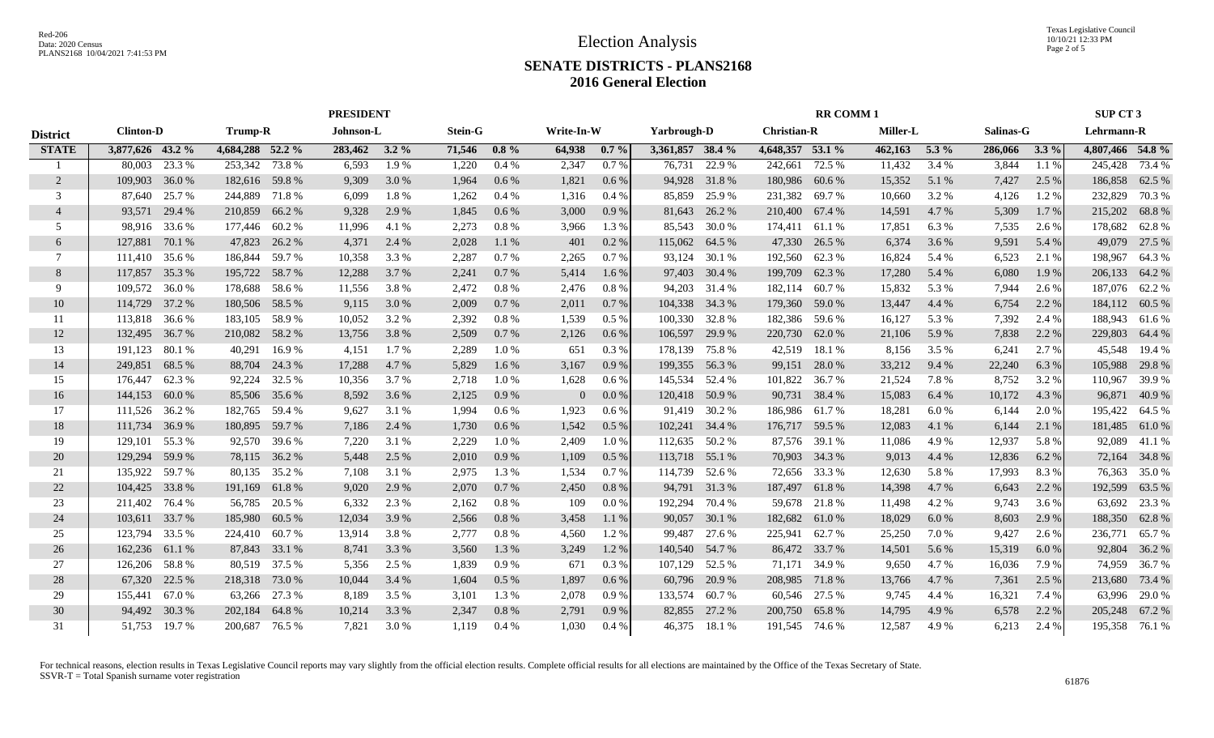# **SENATE DISTRICTS - PLANS2168 2016 General Election**

|                 | <b>PRESIDENT</b>                   |        |                  |               |                             |         |        |           |                |         |                  |        | <b>RR COMM1</b>    |               |         |           |         |           | SUP CT 3         |                |  |
|-----------------|------------------------------------|--------|------------------|---------------|-----------------------------|---------|--------|-----------|----------------|---------|------------------|--------|--------------------|---------------|---------|-----------|---------|-----------|------------------|----------------|--|
| <b>District</b> | <b>Clinton-D</b><br><b>Trump-R</b> |        |                  |               | Johnson-L<br><b>Stein-G</b> |         |        |           | Write-In-W     |         | Yarbrough-D      |        | <b>Christian-R</b> |               |         | Miller-L  |         | Salinas-G | Lehrmann-R       |                |  |
| <b>STATE</b>    | 3,877,626 43.2 %                   |        | 4,684,288 52.2 % |               | 283,462                     | $3.2\%$ | 71,546 | $0.8\%$   | 64,938         | $0.7\%$ | 3,361,857 38.4 % |        | 4,648,357 53.1 %   |               | 462,163 | $5.3\%$   | 286,066 | $3.3\%$   | 4,807,466 54.8 % |                |  |
|                 | 80,003                             | 23.3 % | 253,342          | 73.8 %        | 6,593                       | 1.9%    | 1,220  | 0.4%      | 2,347          | 0.7%    | 76,731           | 22.9 % | 242,661            | 72.5 %        | 11,432  | 3.4%      | 3,844   | 1.1%      | 245,428          | 73.4 %         |  |
| 2               | 109,903                            | 36.0%  | 182,616 59.8 %   |               | 9,309                       | 3.0 %   | 1,964  | 0.6 %     | 1,821          | 0.6%    | 94,928           | 31.8%  | 180,986            | 60.6%         | 15,352  | 5.1 %     | 7,427   | 2.5 %     | 186,858          | 62.5 %         |  |
| 3               | 87,640                             | 25.7 % | 244,889 71.8 %   |               | 6,099                       | 1.8%    | 1,262  | 0.4%      | 1,316          | $0.4\%$ | 85,859           | 25.9%  | 231,382            | 69.7 %        | 10,660  | 3.2%      | 4,126   | 1.2%      | 232,829          | 70.3%          |  |
| $\overline{4}$  | 93,571                             | 29.4 % | 210,859          | 66.2%         | 9,328                       | 2.9 %   | 1,845  | 0.6%      | 3,000          | 0.9 %   | 81,643           | 26.2 % | 210,400 67.4 %     |               | 14,591  | 4.7 %     | 5,309   | 1.7 %     | 215,202          | 68.8%          |  |
| 5               | 98,916                             | 33.6 % | 177,446          | 60.2 %        | 11,996                      | 4.1 %   | 2,273  | 0.8 %     | 3,966          | 1.3 %   | 85,543           | 30.0 % | 174,411            | 61.1 %        | 17,851  | 6.3%      | 7,535   | 2.6 %     | 178,682          | 62.8%          |  |
| 6               | 127,881                            | 70.1 % | 47,823           | 26.2 %        | 4,371                       | 2.4 %   | 2,028  | 1.1 %     | 401            | $0.2\%$ | 115,062          | 64.5 % | 47,330             | 26.5 %        | 6,374   | 3.6 %     | 9,591   | 5.4 %     | 49,079           | 27.5 %         |  |
| 7               | 111,410 35.6 %                     |        | 186,844          | 59.7 %        | 10,358                      | 3.3 %   | 2,287  | 0.7%      | 2,265          | $0.7\%$ | 93,124           | 30.1 % | 192,560            | 62.3%         | 16,824  | 5.4 %     | 6,523   | 2.1 %     | 198,967          | 64.3 %         |  |
| 8               | 117,857 35.3 %                     |        | 195,722          | 58.7 %        | 12,288                      | 3.7 %   | 2,241  | 0.7%      | 5,414          | 1.6 %   | 97,403           | 30.4 % | 199,709            | 62.3%         | 17,280  | 5.4 %     | 6,080   | 1.9%      | 206,133          | 64.2 %         |  |
| 9               | 109,572 36.0 %                     |        | 178,688          | 58.6 %        | 11,556                      | 3.8%    | 2,472  | 0.8%      | 2,476          | 0.8 %   | 94,203           | 31.4 % | 182,114 60.7 %     |               | 15,832  | 5.3 %     | 7,944   | 2.6 %     |                  | 187,076 62.2 % |  |
| 10              | 114,729                            | 37.2 % | 180,506          | 58.5 %        | 9,115                       | 3.0 %   | 2,009  | 0.7%      | 2,011          | 0.7 %   | 104,338          | 34.3 % | 179,360            | 59.0 %        | 13,447  | 4.4 %     | 6,754   | 2.2 %     |                  | 184,112 60.5 % |  |
| 11              | 113,818                            | 36.6 % | 183,105          | 58.9%         | 10,052                      | 3.2 %   | 2,392  | 0.8 %     | 1,539          | $0.5\%$ | 100,330          | 32.8%  | 182,386            | 59.6 %        | 16,127  | 5.3 %     | 7,392   | 2.4 %     | 188,943          | 61.6%          |  |
| 12              | 132,495                            | 36.7 % | 210,082          | 58.2%         | 13,756                      | 3.8 %   | 2,509  | 0.7%      | 2,126          | $0.6\%$ | 106,597          | 29.9%  | 220,730            | 62.0%         | 21,106  | 5.9%      | 7,838   | 2.2 %     | 229,803          | 64.4 %         |  |
| 13              | 191,123                            | 80.1%  | 40,291           | 16.9%         | 4,151                       | 1.7%    | 2,289  | 1.0%      | 651            | 0.3%    | 178,139          | 75.8%  | 42,519             | 18.1%         | 8,156   | 3.5 %     | 6,241   | 2.7 %     | 45,548           | 19.4 %         |  |
| 14              | 249,851                            | 68.5 % | 88,704           | 24.3 %        | 17,288                      | 4.7 %   | 5,829  | $1.6\%$   | 3,167          | 0.9%    | 199,355          | 56.3%  | 99,151             | 28.0%         | 33,212  | 9.4 %     | 22,240  | 6.3%      | 105,988          | 29.8%          |  |
| 15              | 176,447                            | 62.3 % | 92,224           | 32.5 %        | 10,356                      | 3.7 %   | 2,718  | 1.0%      | 1,628          | 0.6 %   | 145,534          | 52.4 % | 101,822            | 36.7 %        | 21,524  | 7.8%      | 8,752   | 3.2 %     | 110,967          | 39.9%          |  |
| 16              | 144,153                            | 60.0%  | 85,506           | 35.6 %        | 8,592                       | 3.6 %   | 2,125  | $0.9\ \%$ | $\overline{0}$ | $0.0\%$ | 120,418          | 50.9%  |                    | 90,731 38.4 % | 15,083  | 6.4 %     | 10,172  | 4.3 %     | 96,871           | 40.9%          |  |
| 17              | 111,526                            | 36.2 % | 182,765          | 59.4 %        | 9,627                       | 3.1 %   | 1,994  | 0.6%      | 1,923          | $0.6\%$ | 91,419           | 30.2 % | 186,986 61.7%      |               | 18,281  | $6.0\ \%$ | 6,144   | 2.0 %     | 195,422          | 64.5 %         |  |
| 18              | 111,734 36.9 %                     |        | 180,895          | 59.7 %        | 7,186                       | 2.4 %   | 1,730  | 0.6 %     | 1,542          | 0.5%    | 102,241 34.4 %   |        | 176,717 59.5 %     |               | 12,083  | 4.1 %     | 6,144   | 2.1 %     | 181,485          | 61.0%          |  |
| 19              | 129,101                            | 55.3 % |                  | 92,570 39.6 % | 7,220                       | 3.1 %   | 2,229  | 1.0%      | 2,409          | 1.0%    | 112,635          | 50.2 % |                    | 87,576 39.1 % | 11,086  | 4.9%      | 12,937  | 5.8 %     | 92,089           | 41.1 %         |  |
| 20              | 129,294                            | 59.9 % |                  | 78,115 36.2 % | 5,448                       | 2.5 %   | 2,010  | 0.9%      | 1,109          | $0.5\%$ | 113,718 55.1 %   |        |                    | 70,903 34.3 % | 9,013   | 4.4 %     | 12,836  | 6.2%      |                  | 72,164 34.8 %  |  |
| 21              | 135,922                            | 59.7 % | 80,135           | 35.2 %        | 7,108                       | 3.1 %   | 2,975  | 1.3 %     | 1,534          | 0.7%    | 114,739          | 52.6 % | 72,656             | 33.3 %        | 12,630  | 5.8%      | 17,993  | 8.3%      | 76,363           | 35.0%          |  |
| 22              | 104,425                            | 33.8%  | 191,169          | 61.8%         | 9,020                       | 2.9 %   | 2,070  | 0.7%      | 2,450          | $0.8\%$ | 94,791           | 31.3 % | 187,497 61.8 %     |               | 14,398  | 4.7 %     | 6,643   | 2.2 %     | 192,599          | 63.5 %         |  |
| 23              | 211,402                            | 76.4 % | 56,785           | 20.5 %        | 6,332                       | 2.3 %   | 2,162  | 0.8%      | 109            | 0.0 %   | 192,294          | 70.4 % |                    | 59,678 21.8 % | 11,498  | 4.2 %     | 9,743   | 3.6 %     | 63,692           | 23.3 %         |  |
| 24              | 103,611 33.7 %                     |        | 185,980          | 60.5 %        | 12,034                      | 3.9 %   | 2,566  | 0.8%      | 3,458          | 1.1%    | 90,057           | 30.1 % | 182,682 61.0 %     |               | 18,029  | 6.0%      | 8,603   | 2.9 %     | 188,350          | 62.8%          |  |
| 25              | 123,794                            | 33.5 % | 224,410          | 60.7 %        | 13,914                      | 3.8%    | 2,777  | 0.8%      | 4,560          | 1.2%    | 99,487           | 27.6 % | 225,941            | 62.7 %        | 25,250  | 7.0 %     | 9,427   | 2.6 %     | 236,771          | 65.7%          |  |
| 26              | 162,236                            | 61.1 % | 87,843           | 33.1 %        | 8,741                       | 3.3 %   | 3,560  | 1.3%      | 3,249          | 1.2 %   | 140,540          | 54.7 % |                    | 86,472 33.7 % | 14,501  | 5.6 %     | 15,319  | 6.0%      | 92,804           | 36.2%          |  |
| 27              | 126,206                            | 58.8%  | 80,519           | 37.5 %        | 5,356                       | 2.5 %   | 1,839  | 0.9%      | 671            | $0.3\%$ | 107,129          | 52.5 % | 71,171             | 34.9 %        | 9,650   | 4.7 %     | 16,036  | 7.9 %     | 74,959           | 36.7 %         |  |
| 28              | 67,320                             | 22.5 % | 218,318          | 73.0 %        | 10,044                      | 3.4 %   | 1,604  | 0.5%      | 1,897          | $0.6\%$ | 60,796           | 20.9 % | 208,985 71.8 %     |               | 13,766  | 4.7 %     | 7,361   | 2.5 %     | 213,680          | 73.4 %         |  |
| 29              | 155,441                            | 67.0%  | 63,266           | 27.3 %        | 8,189                       | 3.5 %   | 3,101  | 1.3 %     | 2,078          | 0.9%    | 133,574          | 60.7%  |                    | 60,546 27.5 % | 9,745   | 4.4 %     | 16,321  | 7.4 %     | 63,996           | 29.0 %         |  |
| 30              | 94,492                             | 30.3 % | 202,184          | 64.8%         | 10,214                      | 3.3 %   | 2,347  | 0.8%      | 2,791          | 0.9%    | 82,855           | 27.2 % | 200,750            | 65.8%         | 14,795  | 4.9 %     | 6,578   | 2.2 %     |                  | 205,248 67.2 % |  |
| 31              | 51,753                             | 19.7 % | 200,687          | 76.5 %        | 7,821                       | 3.0 %   | 1,119  | 0.4%      | 1,030          | 0.4%    | 46.375           | 18.1 % | 191,545 74.6 %     |               | 12,587  | 4.9%      | 6,213   | 2.4 %     | 195,358          | 76.1 %         |  |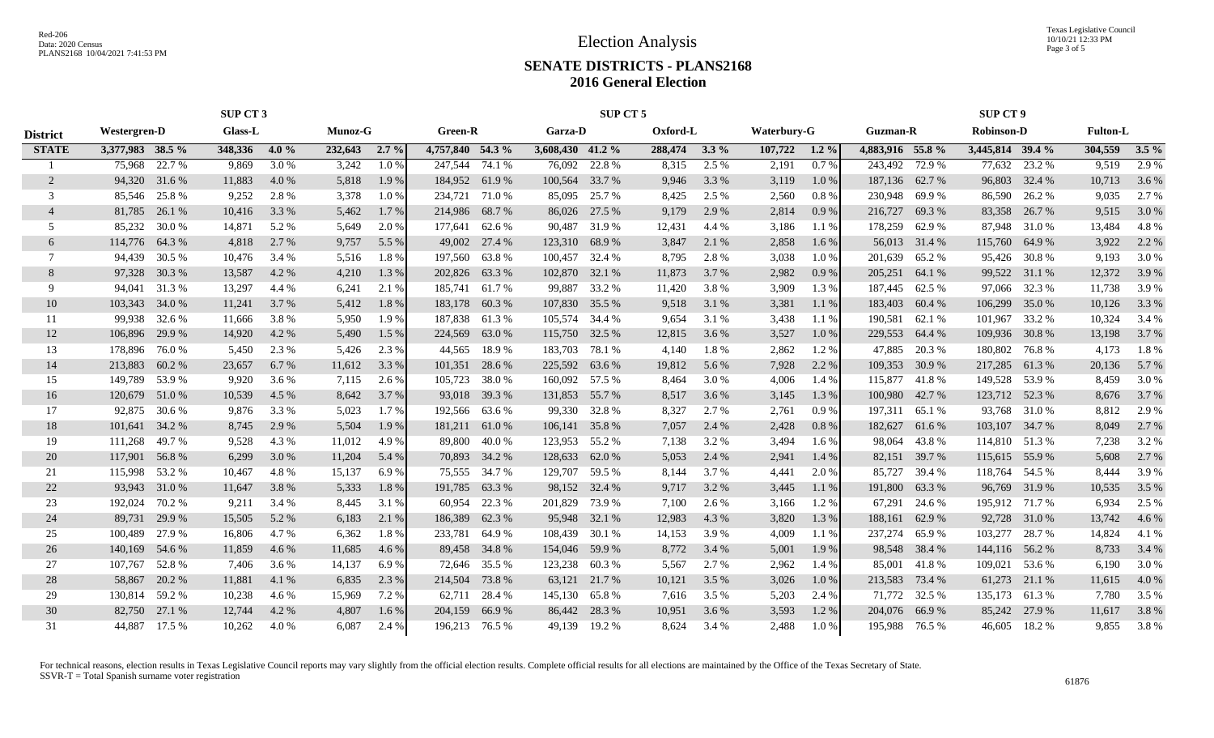Texas Legislative Council 10/10/21 12:33 PM Page 3 of 5

### **SENATE DISTRICTS - PLANS2168 2016 General Election**

|                 | SUP CT 3         |        |         |       |         | SUP CT 5 |                  |        |                  |        |          |         |                    | <b>SUP CT 9</b> |                  |        |                   |               |                 |         |
|-----------------|------------------|--------|---------|-------|---------|----------|------------------|--------|------------------|--------|----------|---------|--------------------|-----------------|------------------|--------|-------------------|---------------|-----------------|---------|
| <b>District</b> | Westergren-D     |        | Glass-L |       | Munoz-G |          | <b>Green-R</b>   |        | Garza-D          |        | Oxford-L |         | <b>Waterbury-G</b> |                 | <b>Guzman-R</b>  |        | <b>Robinson-D</b> |               | <b>Fulton-L</b> |         |
| <b>STATE</b>    | 3,377,983 38.5 % |        | 348,336 | 4.0%  | 232,643 | $2.7\%$  | 4,757,840 54.3 % |        | 3,608,430 41.2 % |        | 288,474  | $3.3\%$ | 107,722            | $1.2\%$         | 4,883,916 55.8 % |        | 3,445,814 39.4 %  |               | 304,559         | $3.5\%$ |
|                 | 75,968           | 22.7 % | 9,869   | 3.0 % | 3,242   | 1.0%     | 247,544          | 74.1 % | 76,092           | 22.8 % | 8,315    | 2.5 %   | 2,191              | 0.7%            | 243,492          | 72.9 % | 77,632            | 23.2 %        | 9,519           | 2.9 %   |
| 2               | 94,320 31.6 %    |        | 11,883  | 4.0%  | 5,818   | 1.9%     | 184,952 61.9 %   |        | 100,564          | 33.7 % | 9,946    | 3.3 %   | 3,119              | 1.0%            | 187,136          | 62.7 % | 96,803            | 32.4 %        | 10,713          | 3.6 %   |
| 3               | 85,546 25.8 %    |        | 9,252   | 2.8%  | 3,378   | 1.0%     | 234,721          | 71.0 % | 85,095           | 25.7 % | 8,425    | 2.5 %   | 2,560              | 0.8%            | 230,948          | 69.9%  | 86,590            | 26.2 %        | 9,035           | 2.7 %   |
| $\overline{4}$  | 81,785           | 26.1 % | 10,416  | 3.3 % | 5,462   | 1.7 %    | 214,986          | 68.7%  | 86,026           | 27.5 % | 9,179    | 2.9 %   | 2,814              | 0.9%            | 216,727          | 69.3%  | 83,358            | 26.7 %        | 9,515           | 3.0%    |
| 5               | 85,232           | 30.0%  | 14,871  | 5.2 % | 5.649   | 2.0%     | 177,641          | 62.6 % | 90,487           | 31.9%  | 12,431   | 4.4 %   | 3,186              | 1.1%            | 178,259          | 62.9 % | 87,948            | 31.0 %        | 13,484          | 4.8%    |
| 6               | 114,776          | 64.3 % | 4,818   | 2.7 % | 9,757   | 5.5 %    | 49,002           | 27.4 % | 123,310          | 68.9%  | 3,847    | 2.1 %   | 2,858              | 1.6 %           | 56,013           | 31.4 % | 115,760           | 64.9%         | 3,922           | 2.2 %   |
| 7               | 94,439           | 30.5 % | 10,476  | 3.4 % | 5,516   | 1.8%     | 197,560          | 63.8%  | 100,457          | 32.4 % | 8,795    | 2.8%    | 3,038              | 1.0%            | 201.639          | 65.2%  | 95,426            | 30.8%         | 9,193           | 3.0 %   |
| 8               | 97,328 30.3 %    |        | 13,587  | 4.2 % | 4,210   | 1.3%     | 202,826 63.3 %   |        | 102,870          | 32.1 % | 11,873   | 3.7 %   | 2,982              | 0.9%            | 205,251          | 64.1 % |                   | 99,522 31.1 % | 12,372          | 3.9 %   |
| 9               | 94,041 31.3 %    |        | 13,297  | 4.4 % | 6,241   | 2.1 %    | 185,741 61.7 %   |        | 99,887           | 33.2 % | 11,420   | 3.8%    | 3,909              | 1.3%            | 187,445          | 62.5 % |                   | 97,066 32.3 % | 11,738          | 3.9%    |
| 10              | 103,343 34.0 %   |        | 11,241  | 3.7 % | 5,412   | 1.8%     | 183,178 60.3 %   |        | 107,830          | 35.5 % | 9,518    | 3.1 %   | 3,381              | 1.1%            | 183,403          | 60.4 % | 106,299           | 35.0 %        | 10,126          | 3.3 %   |
| 11              | 99.938           | 32.6 % | 11,666  | 3.8%  | 5,950   | 1.9%     | 187,838          | 61.3%  | 105,574          | 34.4 % | 9,654    | 3.1 %   | 3,438              | 1.1 %           | 190,581          | 62.1 % | 101,967           | 33.2 %        | 10,324          | 3.4 %   |
| 12              | 106,896          | 29.9 % | 14,920  | 4.2 % | 5,490   | 1.5 %    | 224,569          | 63.0 % | 115,750          | 32.5 % | 12,815   | 3.6 %   | 3,527              | 1.0%            | 229,553          | 64.4 % | 109,936           | 30.8%         | 13,198          | 3.7 %   |
| 13              | 178,896          | 76.0 % | 5,450   | 2.3 % | 5,426   | 2.3 %    | 44,565           | 18.9%  | 183,703          | 78.1 % | 4,140    | 1.8%    | 2,862              | 1.2%            | 47,885           | 20.3 % | 180,802           | 76.8%         | 4,173           | 1.8%    |
| 14              | 213,883          | 60.2%  | 23,657  | 6.7 % | 11,612  | 3.3 %    | 101,351          | 28.6 % | 225,592          | 63.6 % | 19,812   | 5.6 %   | 7,928              | 2.2 %           | 109,353          | 30.9 % | 217,285           | 61.3%         | 20,136          | 5.7 %   |
| 15              | 149,789          | 53.9%  | 9,920   | 3.6 % | 7,115   | 2.6 %    | 105,723          | 38.0%  | 160,092          | 57.5 % | 8,464    | 3.0 %   | 4,006              | 1.4 %           | 115,877          | 41.8%  | 149,528           | 53.9%         | 8,459           | 3.0 %   |
| 16              | 120,679          | 51.0 % | 10,539  | 4.5 % | 8,642   | 3.7 %    | 93,018           | 39.3 % | 131,853          | 55.7 % | 8,517    | 3.6 %   | 3,145              | 1.3 %           | 100,980          | 42.7 % | 123,712           | 52.3 %        | 8,676           | 3.7 %   |
| 17              | 92,875           | 30.6 % | 9,876   | 3.3 % | 5,023   | 1.7 %    | 192,566          | 63.6 % | 99,330           | 32.8%  | 8,327    | 2.7 %   | 2,761              | 0.9%            | 197,311          | 65.1 % |                   | 93,768 31.0 % | 8,812           | 2.9 %   |
| 18              | 101,641 34.2 %   |        | 8,745   | 2.9 % | 5,504   | 1.9%     | 181,211          | 61.0 % | 106,141          | 35.8%  | 7,057    | 2.4 %   | 2,428              | 0.8%            | 182,627          | 61.6 % | 103,107 34.7 %    |               | 8,049           | 2.7 %   |
| 19              | 111,268          | 49.7 % | 9,528   | 4.3 % | 11,012  | 4.9%     | 89,800           | 40.0 % | 123,953 55.2 %   |        | 7,138    | 3.2 %   | 3,494              | 1.6 %           | 98,064           | 43.8%  | 114,810 51.3 %    |               | 7,238           | 3.2 %   |
| 20              | 117,901 56.8 %   |        | 6,299   | 3.0 % | 11,204  | 5.4 %    | 70,893 34.2 %    |        | 128,633          | 62.0 % | 5,053    | 2.4 %   | 2,941              | 1.4 %           | 82,151           | 39.7 % | 115,615 55.9 %    |               | 5,608           | 2.7%    |
| 21              | 115,998          | 53.2 % | 10,467  | 4.8%  | 15,137  | 6.9%     | 75,555           | 34.7 % | 129,707          | 59.5 % | 8,144    | 3.7 %   | 4,441              | 2.0 %           | 85,727           | 39.4 % | 118,764           | 54.5 %        | 8,444           | 3.9%    |
| 22              | 93,943           | 31.0 % | 11,647  | 3.8 % | 5,333   | 1.8%     | 191,785          | 63.3%  | 98,152           | 32.4 % | 9,717    | 3.2 %   | 3,445              | 1.1%            | 191,800          | 63.3 % | 96,769            | 31.9%         | 10,535          | 3.5 %   |
| 23              | 192,024          | 70.2 % | 9,211   | 3.4 % | 8,445   | 3.1 %    | 60,954           | 22.3 % | 201,829          | 73.9 % | 7,100    | 2.6 %   | 3,166              | 1.2%            | 67,291           | 24.6 % | 195,912 71.7 %    |               | 6,934           | 2.5 %   |
| 24              | 89,731           | 29.9 % | 15,505  | 5.2 % | 6,183   | 2.1 %    | 186,389          | 62.3 % | 95,948           | 32.1 % | 12,983   | 4.3 %   | 3,820              | 1.3%            | 188,161          | 62.9%  | 92,728            | 31.0 %        | 13,742          | 4.6 %   |
| 25              | 100,489          | 27.9 % | 16,806  | 4.7 % | 6,362   | 1.8%     | 233,781          | 64.9 % | 108,439          | 30.1 % | 14,153   | 3.9%    | 4,009              | 1.1%            | 237,274          | 65.9%  | 103,277           | 28.7 %        | 14,824          | 4.1 %   |
| 26              | 140,169          | 54.6 % | 11,859  | 4.6 % | 11,685  | 4.6 %    | 89,458           | 34.8 % | 154,046          | 59.9 % | 8,772    | 3.4 %   | 5,001              | 1.9 %           | 98,548           | 38.4 % | 144,116           | 56.2 %        | 8,733           | 3.4 %   |
| 27              | 107,767          | 52.8%  | 7,406   | 3.6 % | 14,137  | 6.9%     | 72,646 35.5 %    |        | 123,238          | 60.3%  | 5,567    | 2.7 %   | 2,962              | 1.4 %           | 85,001           | 41.8%  | 109,021           | 53.6 %        | 6,190           | 3.0 %   |
| 28              | 58,867           | 20.2 % | 11,881  | 4.1 % | 6,835   | 2.3 %    | 214,504          | 73.8%  | 63,121           | 21.7 % | 10,121   | 3.5 %   | 3,026              | 1.0 %           | 213,583          | 73.4 % | 61,273            | 21.1 %        | 11,615          | 4.0 %   |
| 29              | 130,814 59.2 %   |        | 10,238  | 4.6 % | 15,969  | 7.2 %    | 62,711           | 28.4 % | 145,130          | 65.8%  | 7,616    | 3.5 %   | 5,203              | 2.4 %           | 71,772           | 32.5 % | 135,173           | 61.3%         | 7,780           | 3.5 %   |
| 30              | 82,750           | 27.1 % | 12,744  | 4.2 % | 4,807   | 1.6%     | 204,159          | 66.9%  | 86,442           | 28.3 % | 10,951   | 3.6 %   | 3,593              | 1.2%            | 204,076          | 66.9%  | 85,242            | 27.9 %        | 11,617          | 3.8%    |
| 31              | 44,887           | 17.5 % | 10,262  | 4.0%  | 6,087   | 2.4 %    | 196,213 76.5 %   |        | 49,139           | 19.2 % | 8,624    | 3.4 %   | 2,488              | 1.0%            | 195,988          | 76.5 % |                   | 46,605 18.2 % | 9,855           | 3.8%    |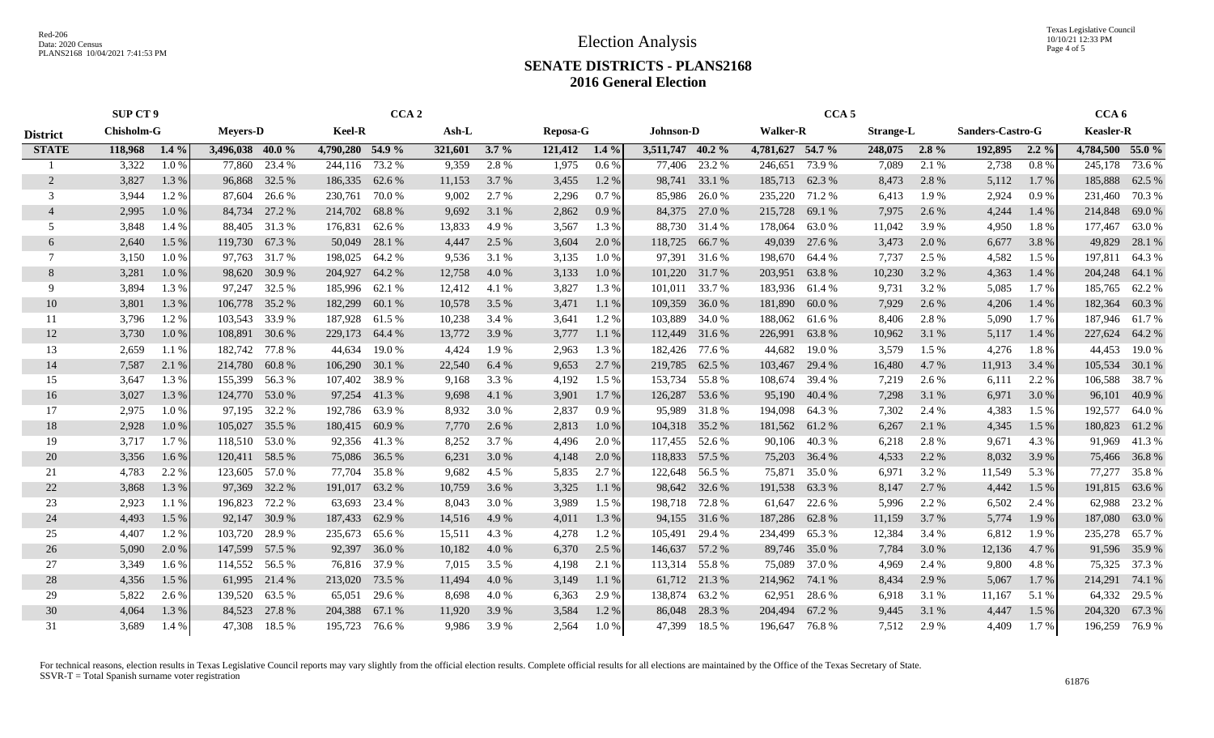Texas Legislative Council 10/10/21 12:33 PM Page 4 of 5

### **SENATE DISTRICTS - PLANS2168 2016 General Election**

|                 | <b>SUP CT 9</b>                      |         |                  |               | CCA <sub>5</sub><br>CCA <sub>2</sub> |               |         |         |                       |         | CCA <sub>6</sub> |                                     |                  |               |                  |         |         |                  |                  |               |
|-----------------|--------------------------------------|---------|------------------|---------------|--------------------------------------|---------------|---------|---------|-----------------------|---------|------------------|-------------------------------------|------------------|---------------|------------------|---------|---------|------------------|------------------|---------------|
| <b>District</b> | <b>Chisholm-G</b><br><b>Meyers-D</b> |         |                  |               | <b>Keel-R</b><br>Ash-L               |               |         |         | Reposa-G<br>Johnson-D |         |                  | <b>Walker-R</b><br><b>Strange-L</b> |                  |               | Sanders-Castro-G |         |         | <b>Keasler-R</b> |                  |               |
| <b>STATE</b>    | 118,968                              | $1.4\%$ | 3,496,038 40.0 % |               | 4,790,280 54.9 %                     |               | 321,601 | $3.7\%$ | 121,412               | $1.4\%$ | 3,511,747 40.2 % |                                     | 4,781,627 54.7 % |               | 248,075          | $2.8\%$ | 192,895 | $2.2\%$          | 4,784,500 55.0 % |               |
|                 | 3,322                                | 1.0%    | 77,860           | 23.4 %        | 244,116                              | 73.2 %        | 9,359   | 2.8 %   | 1,975                 | $0.6\%$ | 77,406           | 23.2 %                              | 246,651          | 73.9 %        | 7,089            | 2.1 %   | 2,738   | 0.8%             | 245,178          | 73.6 %        |
| 2               | 3,827                                | 1.3%    | 96,868           | 32.5 %        | 186,335                              | 62.6 %        | 11,153  | 3.7 %   | 3,455                 | 1.2 %   | 98,741           | 33.1 %                              | 185,713          | 62.3 %        | 8,473            | 2.8 %   | 5,112   | 1.7 %            | 185,888          | 62.5 %        |
| 3               | 3,944                                | 1.2%    | 87,604           | 26.6 %        | 230,761                              | 70.0%         | 9,002   | 2.7 %   | 2,296                 | 0.7%    | 85,986           | 26.0%                               | 235,220 71.2 %   |               | 6,413            | 1.9%    | 2,924   | 0.9%             | 231,460          | 70.3 %        |
| $\overline{4}$  | 2,995                                | 1.0%    | 84,734           | 27.2 %        | 214,702                              | 68.8%         | 9,692   | 3.1 %   | 2,862                 | 0.9%    | 84,375           | 27.0 %                              | 215,728          | 69.1 %        | 7,975            | 2.6 %   | 4,244   | 1.4 %            | 214,848          | 69.0%         |
| 5               | 3,848                                | 1.4 %   | 88,405           | 31.3 %        | 176,831                              | 62.6%         | 13,833  | 4.9%    | 3,567                 | 1.3 %   | 88,730           | 31.4 %                              | 178,064          | 63.0%         | 11,042           | 3.9%    | 4,950   | 1.8%             | 177,467          | 63.0%         |
| 6               | 2,640                                | 1.5 %   | 119,730          | 67.3 %        | 50,049                               | 28.1 %        | 4,447   | 2.5 %   | 3,604                 | 2.0 %   | 118,725          | 66.7%                               | 49,039           | 27.6 %        | 3,473            | 2.0 %   | 6,677   | 3.8%             | 49,829           | 28.1 %        |
|                 | 3,150                                | 1.0%    | 97,763           | 31.7 %        | 198,025                              | 64.2 %        | 9,536   | 3.1 %   | 3,135                 | $1.0\%$ | 97,391           | 31.6 %                              | 198,670          | 64.4 %        | 7,737            | 2.5 %   | 4,582   | $1.5\%$          | 197,811          | 64.3%         |
| 8               | 3,281                                | 1.0%    |                  | 98,620 30.9 % | 204,927                              | 64.2 %        | 12,758  | 4.0 %   | 3,133                 | 1.0%    | 101,220          | 31.7 %                              | 203,951          | 63.8%         | 10,230           | 3.2 %   | 4,363   | 1.4 %            | 204,248          | 64.1 %        |
| -9              | 3,894                                | 1.3%    |                  | 97,247 32.5 % | 185,996                              | 62.1 %        | 12,412  | 4.1 %   | 3,827                 | 1.3%    | 101,011          | 33.7 %                              | 183,936 61.4 %   |               | 9,731            | 3.2 %   | 5,085   | 1.7%             | 185,765          | 62.2 %        |
| 10              | 3,801                                | 1.3%    | 106,778          | 35.2 %        | 182,299                              | 60.1%         | 10,578  | 3.5 %   | 3,471                 | 1.1%    | 109,359          | 36.0%                               | 181,890          | 60.0%         | 7,929            | 2.6 %   | 4,206   | 1.4 %            | 182,364          | 60.3%         |
| 11              | 3,796                                | 1.2%    | 103,543          | 33.9%         | 187,928                              | 61.5 %        | 10,238  | 3.4 %   | 3,641                 | 1.2%    | 103,889          | 34.0 %                              | 188,062          | 61.6 %        | 8,406            | 2.8%    | 5,090   | 1.7%             | 187,946 61.7 %   |               |
| 12              | 3,730                                | 1.0%    | 108,891          | 30.6 %        | 229,173                              | 64.4 %        | 13,772  | 3.9%    | 3,777                 | 1.1 %   | 112,449          | 31.6 %                              | 226,991          | 63.8%         | 10,962           | 3.1 %   | 5,117   | 1.4 %            | 227,624          | 64.2 %        |
| 13              | 2,659                                | 1.1%    | 182,742          | 77.8%         | 44,634                               | 19.0%         | 4,424   | 1.9%    | 2,963                 | 1.3%    | 182,426          | 77.6 %                              | 44,682           | 19.0%         | 3,579            | 1.5 %   | 4,276   | 1.8%             | 44,453           | 19.0%         |
| 14              | 7,587                                | 2.1 %   | 214,780          | 60.8%         | 106,290                              | 30.1 %        | 22,540  | 6.4 %   | 9,653                 | 2.7%    | 219,785          | 62.5 %                              | 103,467          | 29.4 %        | 16,480           | 4.7%    | 11,913  | 3.4 %            | 105,534          | 30.1 %        |
| 15              | 3,647                                | 1.3%    | 155,399          | 56.3%         | 107,402                              | 38.9%         | 9,168   | 3.3 %   | 4,192                 | 1.5 %   | 153,734          | 55.8%                               | 108,674          | 39.4 %        | 7,219            | 2.6 %   | 6,111   | 2.2 %            | 106,588          | 38.7%         |
| 16              | 3,027                                | 1.3%    | 124,770          | 53.0 %        | 97,254                               | 41.3%         | 9,698   | 4.1 %   | 3,901                 | $1.7\%$ | 126,287          | 53.6 %                              | 95,190           | 40.4 %        | 7,298            | 3.1 %   | 6,971   | 3.0 %            | 96,101           | 40.9%         |
| 17              | 2,975                                | 1.0%    | 97,195           | 32.2 %        | 192,786                              | 63.9%         | 8,932   | 3.0 %   | 2,837                 | 0.9%    | 95,989           | 31.8%                               | 194,098          | 64.3%         | 7,302            | 2.4 %   | 4,383   | $1.5\%$          | 192,577          | 64.0 %        |
| 18              | 2,928                                | 1.0%    | 105,027 35.5 %   |               | 180,415                              | 60.9%         | 7,770   | 2.6 %   | 2,813                 | 1.0%    | 104,318 35.2 %   |                                     | 181,562          | 61.2%         | 6,267            | 2.1 %   | 4,345   | 1.5 %            | 180,823          | 61.2%         |
| 19              | 3,717                                | 1.7 %   | 118,510 53.0 %   |               |                                      | 92,356 41.3 % | 8,252   | 3.7 %   | 4,496                 | 2.0 %   | 117,455 52.6 %   |                                     |                  | 90,106 40.3 % | 6,218            | 2.8%    | 9,671   | 4.3 %            | 91,969           | 41.3%         |
| 20              | 3,356                                | 1.6 %   | 120,411 58.5 %   |               | 75,086                               | 36.5 %        | 6,231   | 3.0 %   | 4,148                 | 2.0 %   | 118,833          | 57.5 %                              | 75,203           | 36.4 %        | 4,533            | 2.2 %   | 8,032   | 3.9%             | 75,466           | 36.8%         |
| 21              | 4,783                                | 2.2 %   | 123,605          | 57.0 %        | 77,704                               | 35.8%         | 9,682   | 4.5 %   | 5,835                 | 2.7 %   | 122,648          | 56.5 %                              | 75,871           | 35.0 %        | 6,971            | 3.2 %   | 11,549  | 5.3 %            | 77,277           | 35.8%         |
| 22              | 3,868                                | 1.3%    | 97,369           | 32.2 %        | 191,017                              | 63.2%         | 10,759  | 3.6 %   | 3,325                 | 1.1 %   | 98,642           | 32.6 %                              | 191,538          | 63.3 %        | 8,147            | 2.7 %   | 4,442   | 1.5 %            | 191,815 63.6 %   |               |
| 23              | 2,923                                | 1.1 %   | 196,823          | 72.2 %        | 63,693                               | 23.4 %        | 8,043   | 3.0%    | 3,989                 | 1.5 %   | 198,718          | 72.8%                               | 61,647           | 22.6 %        | 5,996            | 2.2 %   | 6,502   | 2.4 %            | 62,988           | 23.2 %        |
| 24              | 4,493                                | 1.5 %   | 92,147           | 30.9%         | 187,433                              | 62.9%         | 14,516  | 4.9 %   | 4,011                 | 1.3 %   | 94,155           | 31.6 %                              | 187,286          | 62.8%         | 11,159           | 3.7%    | 5,774   | 1.9%             | 187,080          | 63.0%         |
| 25              | 4,407                                | 1.2%    | 103,720          | 28.9%         | 235.673                              | 65.6%         | 15,511  | 4.3%    | 4,278                 | 1.2%    | 105,491          | 29.4 %                              | 234,499          | 65.3%         | 12,384           | 3.4 %   | 6,812   | 1.9%             | 235,278          | 65.7%         |
| 26              | 5,090                                | 2.0 %   | 147,599          | 57.5 %        | 92,397                               | 36.0%         | 10,182  | 4.0%    | 6,370                 | 2.5 %   | 146,637          | 57.2 %                              | 89,746           | 35.0 %        | 7,784            | 3.0 %   | 12,136  | 4.7 %            |                  | 91,596 35.9 % |
| 27              | 3,349                                | $1.6\%$ | 114,552 56.5 %   |               | 76,816                               | 37.9 %        | 7,015   | 3.5 %   | 4,198                 | 2.1 %   | 113,314          | 55.8%                               | 75,089           | 37.0 %        | 4,969            | 2.4 %   | 9,800   | 4.8%             |                  | 75,325 37.3 % |
| 28              | 4,356                                | 1.5 %   | 61,995           | 21.4 %        | 213,020                              | 73.5 %        | 11,494  | 4.0%    | 3,149                 | 1.1%    |                  | 61,712 21.3 %                       | 214,962          | 74.1 %        | 8,434            | 2.9 %   | 5,067   | 1.7 %            | 214,291          | 74.1 %        |
| 29              | 5,822                                | 2.6 %   | 139,520 63.5 %   |               | 65,051                               | 29.6 %        | 8,698   | 4.0 %   | 6,363                 | 2.9 %   | 138,874          | 63.2%                               | 62,951           | 28.6 %        | 6,918            | 3.1 %   | 11,167  | 5.1 %            |                  | 64,332 29.5 % |
| 30              | 4,064                                | 1.3%    | 84,523           | 27.8 %        | 204,388                              | 67.1 %        | 11,920  | 3.9 %   | 3,584                 | 1.2%    | 86,048           | 28.3 %                              | 204,494          | 67.2 %        | 9,445            | 3.1 %   | 4,447   | 1.5 %            | 204,320          | 67.3 %        |
| 31              | 3,689                                | 1.4 %   | 47,308           | 18.5 %        | 195,723                              | 76.6%         | 9,986   | 3.9%    | 2,564                 | 1.0%    | 47,399           | 18.5 %                              | 196,647          | 76.8%         | 7,512            | 2.9 %   | 4,409   | 1.7 %            | 196,259          | 76.9%         |